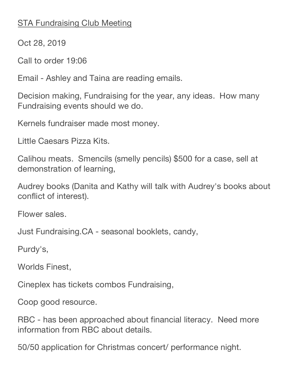## **STA Fundraising Club Meeting**

Oct 28, 2019

Call to order 19:06

Email - Ashley and Taina are reading emails.

Decision making, Fundraising for the year, any ideas. How many Fundraising events should we do.

Kernels fundraiser made most money.

Little Caesars Pizza Kits.

Calihou meats. Smencils (smelly pencils) \$500 for a case, sell at demonstration of learning,

Audrey books (Danita and Kathy will talk with Audrey's books about conflict of interest).

Flower sales.

Just Fundraising.CA - seasonal booklets, candy,

Purdy's,

Worlds Finest,

Cineplex has tickets combos Fundraising,

Coop good resource.

RBC - has been approached about financial literacy. Need more information from RBC about details.

50/50 application for Christmas concert/ performance night.